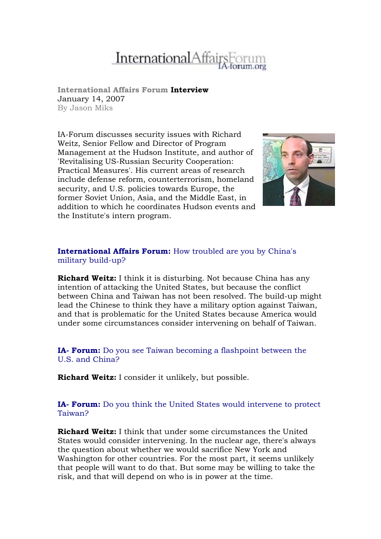# InternationalAffai

**International Affairs Forum Interview** January 14, 2007 By Jason Miks

IA-Forum discusses security issues with Richard Weitz, Senior Fellow and Director of Program Management at the Hudson Institute, and author of 'Revitalising US-Russian Security Cooperation: Practical Measures'. His current areas of research include defense reform, counterterrorism, homeland security, and U.S. policies towards Europe, the former Soviet Union, Asia, and the Middle East, in addition to which he coordinates Hudson events and the Institute's intern program.



# **International Affairs Forum:** How troubled are you by China's military build-up?

**Richard Weitz:** I think it is disturbing. Not because China has any intention of attacking the United States, but because the conflict between China and Taiwan has not been resolved. The build-up might lead the Chinese to think they have a military option against Taiwan, and that is problematic for the United States because America would under some circumstances consider intervening on behalf of Taiwan.

**IA- Forum:** Do you see Taiwan becoming a flashpoint between the U.S. and China?

**Richard Weitz:** I consider it unlikely, but possible.

**IA- Forum:** Do you think the United States would intervene to protect Taiwan?

**Richard Weitz:** I think that under some circumstances the United States would consider intervening. In the nuclear age, there's always the question about whether we would sacrifice New York and Washington for other countries. For the most part, it seems unlikely that people will want to do that. But some may be willing to take the risk, and that will depend on who is in power at the time.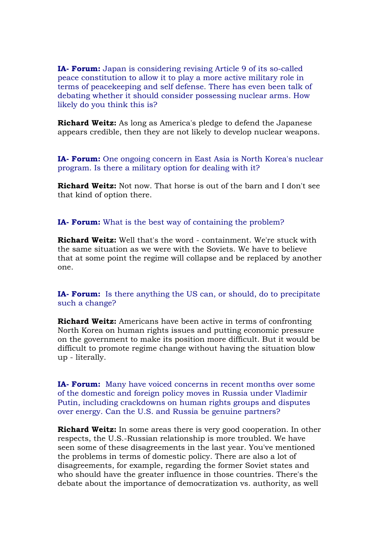**IA- Forum:** Japan is considering revising Article 9 of its so-called peace constitution to allow it to play a more active military role in terms of peacekeeping and self defense. There has even been talk of debating whether it should consider possessing nuclear arms. How likely do you think this is?

**Richard Weitz:** As long as America's pledge to defend the Japanese appears credible, then they are not likely to develop nuclear weapons.

**IA- Forum:** One ongoing concern in East Asia is North Korea's nuclear program. Is there a military option for dealing with it?

**Richard Weitz:** Not now. That horse is out of the barn and I don't see that kind of option there.

**IA- Forum:** What is the best way of containing the problem?

**Richard Weitz:** Well that's the word - containment. We're stuck with the same situation as we were with the Soviets. We have to believe that at some point the regime will collapse and be replaced by another one.

**IA- Forum:** Is there anything the US can, or should, do to precipitate such a change?

**Richard Weitz:** Americans have been active in terms of confronting North Korea on human rights issues and putting economic pressure on the government to make its position more difficult. But it would be difficult to promote regime change without having the situation blow up - literally.

**IA- Forum:** Many have voiced concerns in recent months over some of the domestic and foreign policy moves in Russia under Vladimir Putin, including crackdowns on human rights groups and disputes over energy. Can the U.S. and Russia be genuine partners?

**Richard Weitz:** In some areas there is very good cooperation. In other respects, the U.S.-Russian relationship is more troubled. We have seen some of these disagreements in the last year. You've mentioned the problems in terms of domestic policy. There are also a lot of disagreements, for example, regarding the former Soviet states and who should have the greater influence in those countries. There's the debate about the importance of democratization vs. authority, as well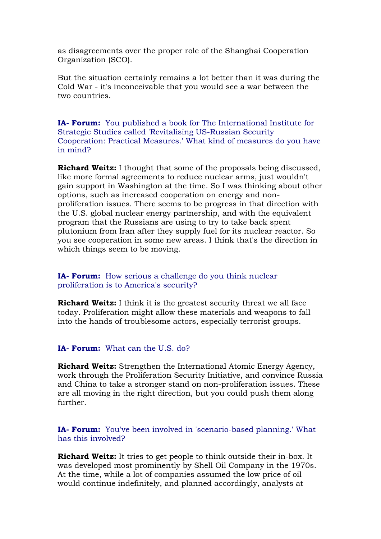as disagreements over the proper role of the Shanghai Cooperation Organization (SCO).

But the situation certainly remains a lot better than it was during the Cold War - it's inconceivable that you would see a war between the two countries.

**IA- Forum:** You published a book for The International Institute for Strategic Studies called 'Revitalising US-Russian Security Cooperation: Practical Measures.' What kind of measures do you have in mind?

**Richard Weitz:** I thought that some of the proposals being discussed, like more formal agreements to reduce nuclear arms, just wouldn't gain support in Washington at the time. So I was thinking about other options, such as increased cooperation on energy and nonproliferation issues. There seems to be progress in that direction with the U.S. global nuclear energy partnership, and with the equivalent program that the Russians are using to try to take back spent plutonium from Iran after they supply fuel for its nuclear reactor. So you see cooperation in some new areas. I think that's the direction in which things seem to be moving.

**IA- Forum:** How serious a challenge do you think nuclear proliferation is to America's security?

**Richard Weitz:** I think it is the greatest security threat we all face today. Proliferation might allow these materials and weapons to fall into the hands of troublesome actors, especially terrorist groups.

## **IA- Forum:** What can the U.S. do?

**Richard Weitz:** Strengthen the International Atomic Energy Agency, work through the Proliferation Security Initiative, and convince Russia and China to take a stronger stand on non-proliferation issues. These are all moving in the right direction, but you could push them along further.

**IA- Forum:** You've been involved in 'scenario-based planning.' What has this involved?

**Richard Weitz:** It tries to get people to think outside their in-box. It was developed most prominently by Shell Oil Company in the 1970s. At the time, while a lot of companies assumed the low price of oil would continue indefinitely, and planned accordingly, analysts at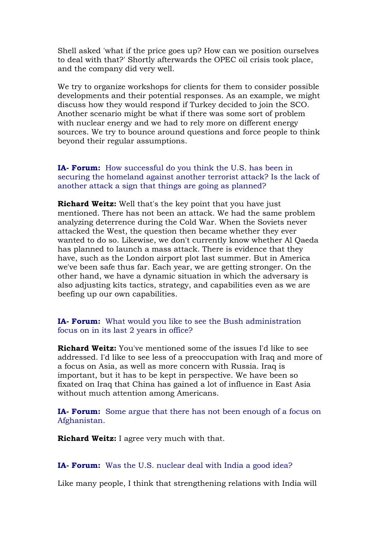Shell asked 'what if the price goes up? How can we position ourselves to deal with that?' Shortly afterwards the OPEC oil crisis took place, and the company did very well.

We try to organize workshops for clients for them to consider possible developments and their potential responses. As an example, we might discuss how they would respond if Turkey decided to join the SCO. Another scenario might be what if there was some sort of problem with nuclear energy and we had to rely more on different energy sources. We try to bounce around questions and force people to think beyond their regular assumptions.

**IA- Forum:** How successful do you think the U.S. has been in securing the homeland against another terrorist attack? Is the lack of another attack a sign that things are going as planned?

**Richard Weitz:** Well that's the key point that you have just mentioned. There has not been an attack. We had the same problem analyzing deterrence during the Cold War. When the Soviets never attacked the West, the question then became whether they ever wanted to do so. Likewise, we don't currently know whether Al Qaeda has planned to launch a mass attack. There is evidence that they have, such as the London airport plot last summer. But in America we've been safe thus far. Each year, we are getting stronger. On the other hand, we have a dynamic situation in which the adversary is also adjusting kits tactics, strategy, and capabilities even as we are beefing up our own capabilities.

### **IA- Forum:** What would you like to see the Bush administration focus on in its last 2 years in office?

**Richard Weitz:** You've mentioned some of the issues I'd like to see addressed. I'd like to see less of a preoccupation with Iraq and more of a focus on Asia, as well as more concern with Russia. Iraq is important, but it has to be kept in perspective. We have been so fixated on Iraq that China has gained a lot of influence in East Asia without much attention among Americans.

**IA- Forum:** Some argue that there has not been enough of a focus on Afghanistan.

**Richard Weitz:** I agree very much with that.

### **IA- Forum:** Was the U.S. nuclear deal with India a good idea?

Like many people, I think that strengthening relations with India will